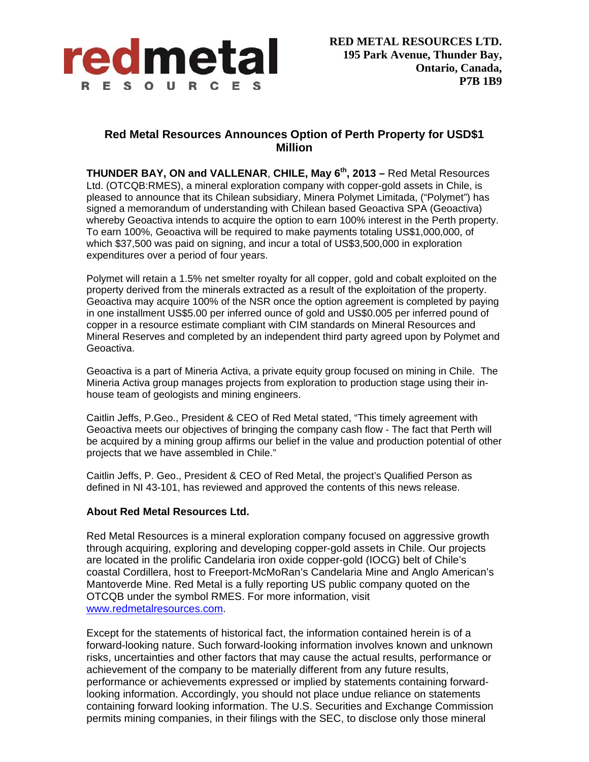

## **Red Metal Resources Announces Option of Perth Property for USD\$1 Million**

**THUNDER BAY, ON and VALLENAR**, **CHILE, May 6th, 2013 –** Red Metal Resources Ltd. (OTCQB:RMES), a mineral exploration company with copper-gold assets in Chile, is pleased to announce that its Chilean subsidiary, Minera Polymet Limitada, ("Polymet") has signed a memorandum of understanding with Chilean based Geoactiva SPA (Geoactiva) whereby Geoactiva intends to acquire the option to earn 100% interest in the Perth property. To earn 100%, Geoactiva will be required to make payments totaling US\$1,000,000, of which \$37,500 was paid on signing, and incur a total of US\$3,500,000 in exploration expenditures over a period of four years.

Polymet will retain a 1.5% net smelter royalty for all copper, gold and cobalt exploited on the property derived from the minerals extracted as a result of the exploitation of the property. Geoactiva may acquire 100% of the NSR once the option agreement is completed by paying in one installment US\$5.00 per inferred ounce of gold and US\$0.005 per inferred pound of copper in a resource estimate compliant with CIM standards on Mineral Resources and Mineral Reserves and completed by an independent third party agreed upon by Polymet and Geoactiva.

Geoactiva is a part of Mineria Activa, a private equity group focused on mining in Chile. The Mineria Activa group manages projects from exploration to production stage using their inhouse team of geologists and mining engineers.

Caitlin Jeffs, P.Geo., President & CEO of Red Metal stated, "This timely agreement with Geoactiva meets our objectives of bringing the company cash flow - The fact that Perth will be acquired by a mining group affirms our belief in the value and production potential of other projects that we have assembled in Chile."

Caitlin Jeffs, P. Geo., President & CEO of Red Metal, the project's Qualified Person as defined in NI 43-101, has reviewed and approved the contents of this news release.

## **About Red Metal Resources Ltd.**

Red Metal Resources is a mineral exploration company focused on aggressive growth through acquiring, exploring and developing copper-gold assets in Chile. Our projects are located in the prolific Candelaria iron oxide copper-gold (IOCG) belt of Chile's coastal Cordillera, host to Freeport-McMoRan's Candelaria Mine and Anglo American's Mantoverde Mine. Red Metal is a fully reporting US public company quoted on the OTCQB under the symbol RMES. For more information, visit www.redmetalresources.com.

Except for the statements of historical fact, the information contained herein is of a forward-looking nature. Such forward-looking information involves known and unknown risks, uncertainties and other factors that may cause the actual results, performance or achievement of the company to be materially different from any future results, performance or achievements expressed or implied by statements containing forwardlooking information. Accordingly, you should not place undue reliance on statements containing forward looking information. The U.S. Securities and Exchange Commission permits mining companies, in their filings with the SEC, to disclose only those mineral